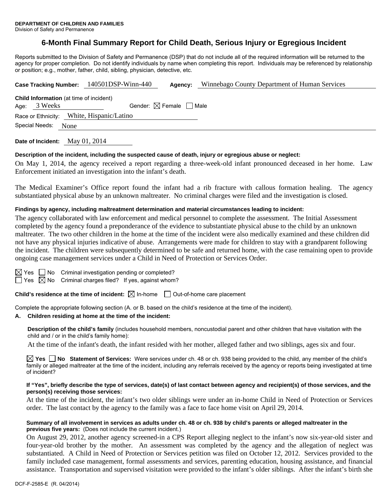# **6-Month Final Summary Report for Child Death, Serious Injury or Egregious Incident**

Reports submitted to the Division of Safety and Permanence (DSP) that do not include all of the required information will be returned to the agency for proper completion. Do not identify individuals by name when completing this report. Individuals may be referenced by relationship or position; e.g., mother, father, child, sibling, physician, detective, etc.

|                                                             |                                                                | Case Tracking Number: 140501DSP-Winn-440 | Agency:                                | Winnebago County Department of Human Services |  |  |
|-------------------------------------------------------------|----------------------------------------------------------------|------------------------------------------|----------------------------------------|-----------------------------------------------|--|--|
|                                                             | <b>Child Information</b> (at time of incident)<br>Age: 3 Weeks |                                          | Gender: $\boxtimes$ Female $\Box$ Male |                                               |  |  |
| Race or Ethnicity: White, Hispanic/Latino<br>Special Needs: |                                                                |                                          |                                        |                                               |  |  |
|                                                             | None                                                           |                                          |                                        |                                               |  |  |

**Date of Incident:** May 01, 2014

### **Description of the incident, including the suspected cause of death, injury or egregious abuse or neglect:**

On May 1, 2014, the agency received a report regarding a three-week-old infant pronounced deceased in her home. Law Enforcement initiated an investigation into the infant's death.

The Medical Examiner's Office report found the infant had a rib fracture with callous formation healing. The agency substantiated physical abuse by an unknown maltreater. No criminal charges were filed and the investigation is closed.

## **Findings by agency, including maltreatment determination and material circumstances leading to incident:**

The agency collaborated with law enforcement and medical personnel to complete the assessment. The Initial Assessment completed by the agency found a preponderance of the evidence to substantiate physical abuse to the child by an unknown maltreater. The two other children in the home at the time of the incident were also medically examined and these children did not have any physical injuries indicative of abuse. Arrangements were made for children to stay with a grandparent following the incident. The children were subsequently determined to be safe and returned home, with the case remaining open to provide ongoing case management services under a Child in Need of Protection or Services Order.

 $\boxtimes$  Yes  $\Box$  No Criminal investigation pending or completed?

 $\Box$  Yes  $\boxtimes$  No Criminal charges filed? If yes, against whom?

**Child's residence at the time of incident:**  $\boxtimes$  In-home  $\Box$  Out-of-home care placement

Complete the appropriate following section (A. or B. based on the child's residence at the time of the incident).

### **A. Children residing at home at the time of the incident:**

**Description of the child's family** (includes household members, noncustodial parent and other children that have visitation with the child and / or in the child's family home):

At the time of the infant's death, the infant resided with her mother, alleged father and two siblings, ages six and four.

**Yes No Statement of Services:** Were services under ch. 48 or ch. 938 being provided to the child, any member of the child's family or alleged maltreater at the time of the incident, including any referrals received by the agency or reports being investigated at time of incident?

#### **If "Yes", briefly describe the type of services, date(s) of last contact between agency and recipient(s) of those services, and the person(s) receiving those services:**

At the time of the incident, the infant's two older siblings were under an in-home Child in Need of Protection or Services order. The last contact by the agency to the family was a face to face home visit on April 29, 2014.

#### **Summary of all involvement in services as adults under ch. 48 or ch. 938 by child's parents or alleged maltreater in the previous five years:** (Does not include the current incident.)

On August 29, 2012, another agency screened-in a CPS Report alleging neglect to the infant's now six-year-old sister and four-year-old brother by the mother. An assessment was completed by the agency and the allegation of neglect was substantiated. A Child in Need of Protection or Services petition was filed on October 12, 2012. Services provided to the family included case management, formal assessments and services, parenting education, housing assistance, and financial assistance. Transportation and supervised visitation were provided to the infant's older siblings. After the infant's birth she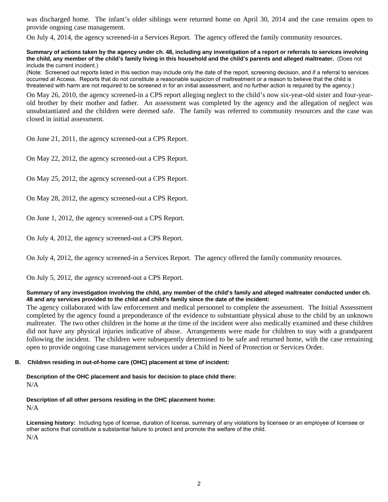was discharged home. The infant's older siblings were returned home on April 30, 2014 and the case remains open to provide ongoing case management.

On July 4, 2014, the agency screened-in a Services Report. The agency offered the family community resources.

**Summary of actions taken by the agency under ch. 48, including any investigation of a report or referrals to services involving the child, any member of the child's family living in this household and the child's parents and alleged maltreater.** (Does not include the current incident.)

(Note: Screened out reports listed in this section may include only the date of the report, screening decision, and if a referral to services occurred at Access. Reports that do not constitute a reasonable suspicion of maltreatment or a reason to believe that the child is threatened with harm are not required to be screened in for an initial assessment, and no further action is required by the agency.)

On May 26, 2010, the agency screened-in a CPS report alleging neglect to the child's now six-year-old sister and four-yearold brother by their mother and father. An assessment was completed by the agency and the allegation of neglect was unsubstantiated and the children were deemed safe. The family was referred to community resources and the case was closed in initial assessment.

On June 21, 2011, the agency screened-out a CPS Report.

On May 22, 2012, the agency screened-out a CPS Report.

On May 25, 2012, the agency screened-out a CPS Report.

On May 28, 2012, the agency screened-out a CPS Report.

On June 1, 2012, the agency screened-out a CPS Report.

On July 4, 2012, the agency screened-out a CPS Report.

On July 4, 2012, the agency screened-in a Services Report. The agency offered the family community resources.

On July 5, 2012, the agency screened-out a CPS Report.

#### **Summary of any investigation involving the child, any member of the child's family and alleged maltreater conducted under ch. 48 and any services provided to the child and child's family since the date of the incident:**

The agency collaborated with law enforcement and medical personnel to complete the assessment. The Initial Assessment completed by the agency found a preponderance of the evidence to substantiate physical abuse to the child by an unknown maltreater. The two other children in the home at the time of the incident were also medically examined and these children did not have any physical injuries indicative of abuse. Arrangements were made for children to stay with a grandparent following the incident. The children were subsequently determined to be safe and returned home, with the case remaining open to provide ongoing case management services under a Child in Need of Protection or Services Order.

### **B. Children residing in out-of-home care (OHC) placement at time of incident:**

**Description of the OHC placement and basis for decision to place child there:**  N/A

**Description of all other persons residing in the OHC placement home:** 

N/A

**Licensing history:** Including type of license, duration of license, summary of any violations by licensee or an employee of licensee or other actions that constitute a substantial failure to protect and promote the welfare of the child. N/A